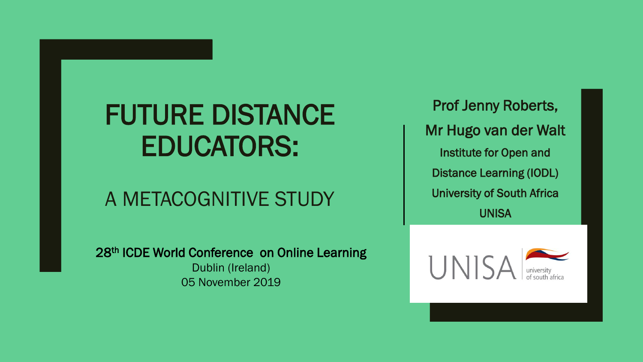# FUTURE DISTANCE EDUCATORS:

### A METACOGNITIVE STUDY

28<sup>th</sup> ICDE World Conference on Online Learning Dublin (Ireland) 05 November 2019

Prof Jenny Roberts, Mr Hugo van der Walt Institute for Open and Distance Learning (IODL) University of South Africa UNISA

UNIS,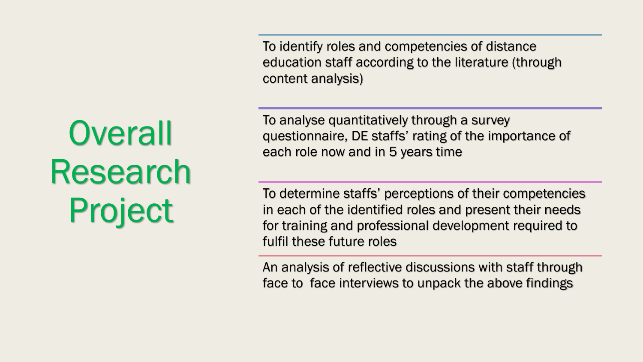To identify roles and competencies of distance education staff according to the literature (through content analysis)

To analyse quantitatively through a survey questionnaire, DE staffs' rating of the importance of each role now and in 5 years time

To determine staffs' perceptions of their competencies in each of the identified roles and present their needs for training and professional development required to fulfil these future roles

An analysis of reflective discussions with staff through face to face interviews to unpack the above findings

# **Overall** Research Project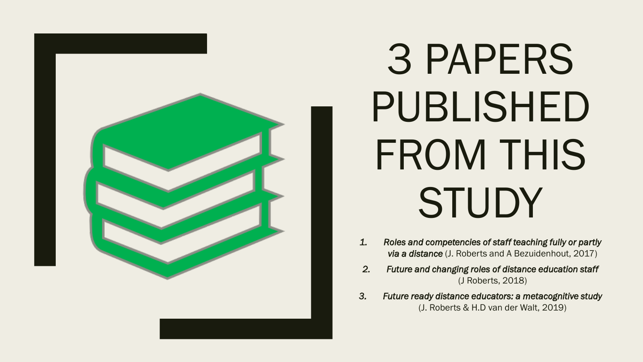

# 3 PAPERS PUBLISHED FROM THIS **STUDY**

- *1. Roles and competencies of staff teaching fully or partly via a distance* (J. Roberts and A Bezuidenhout, 2017)
- *2. Future and changing roles of distance education staff*  (J Roberts, 2018)
- *3. Future ready distance educators: a metacognitive study*  (J. Roberts & H.D van der Walt, 2019)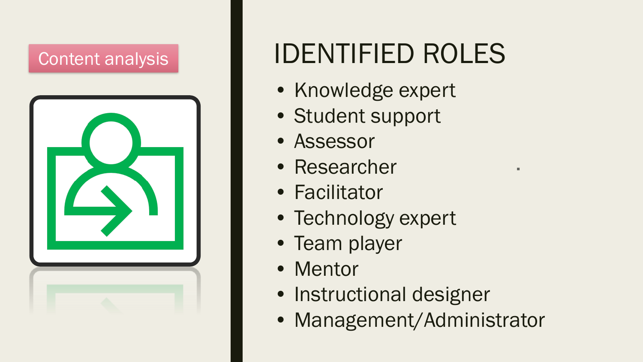### Content analysis



# IDENTIFIED ROLES

- Knowledge expert
- Student support
- Assessor
- Researcher
- Facilitator
- Technology expert
- Team player
- Mentor
- Instructional designer
- Management/Administrator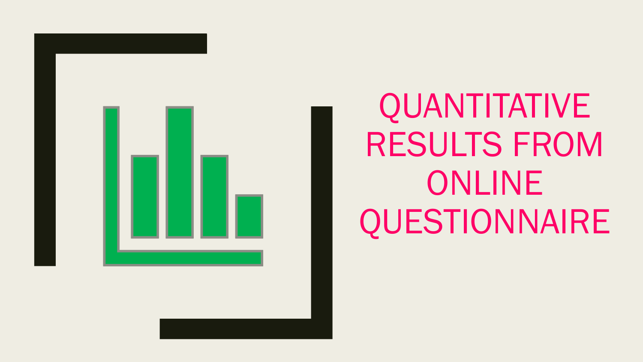

QUANTITATIVE RESULTS FROM ONLINE QUESTIONNAIRE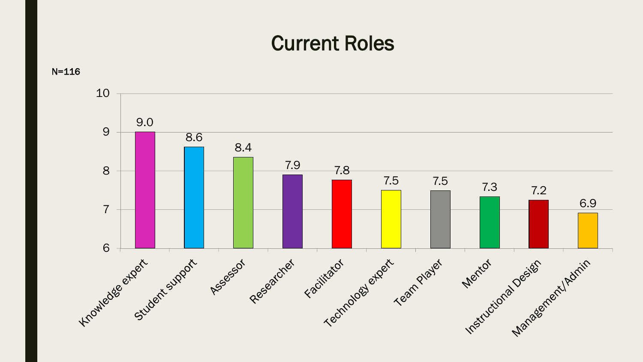### Current Roles



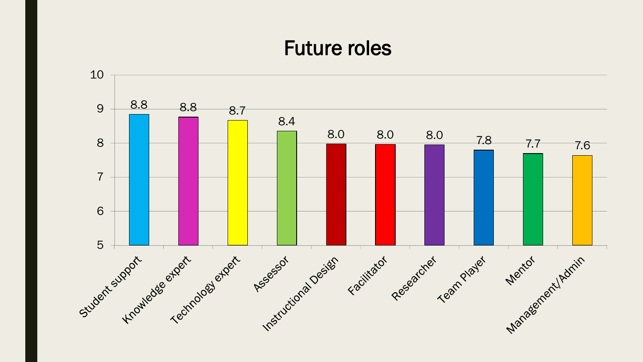### Future roles

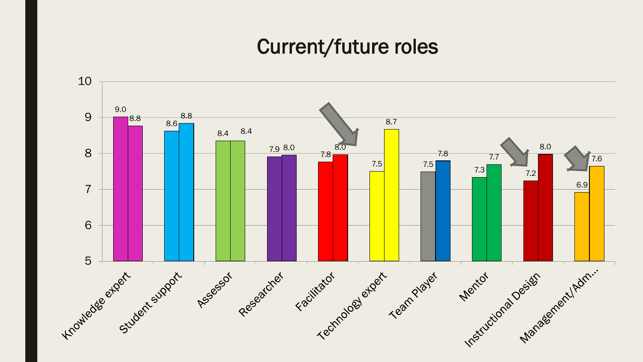### Current/future roles

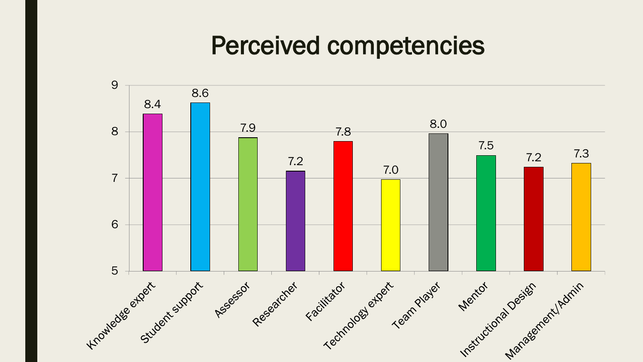## Perceived competencies

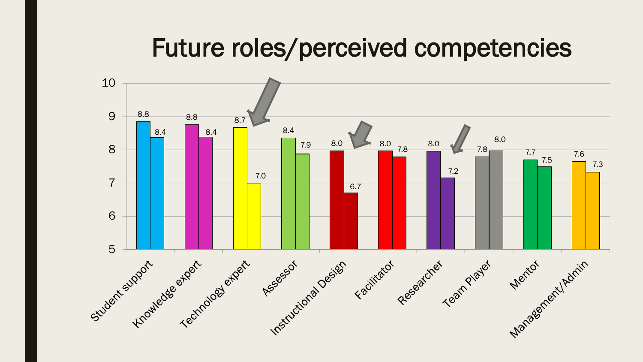## Future roles/perceived competencies

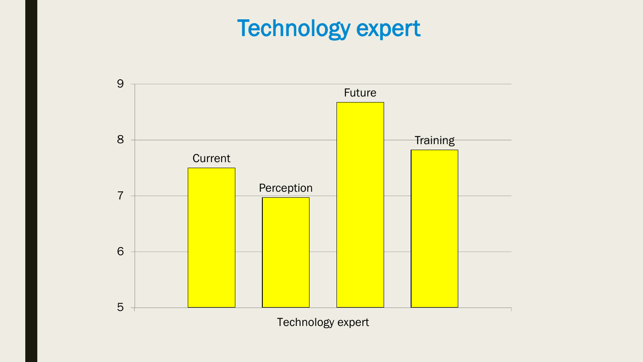# Technology expert

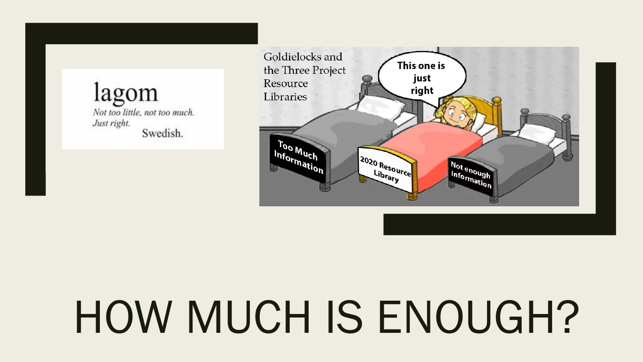lagom Not too little, not too much. Just right. Swedish.



# HOW MUCH IS ENOUGH?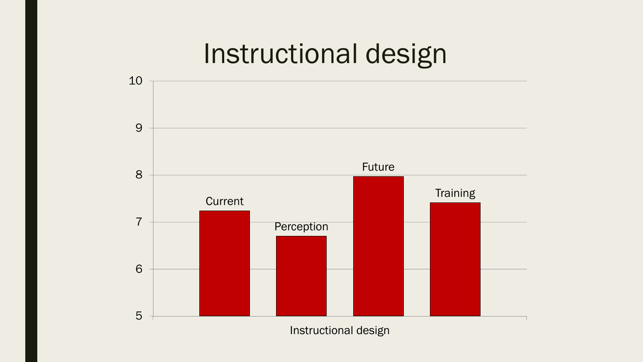# Instructional design

![](_page_12_Figure_1.jpeg)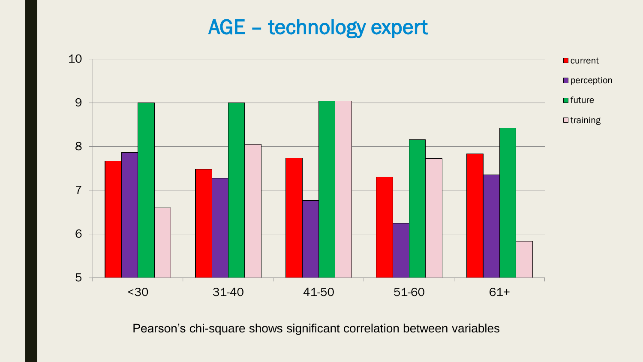### AGE – technology expert

![](_page_13_Figure_1.jpeg)

Pearson's chi-square shows significant correlation between variables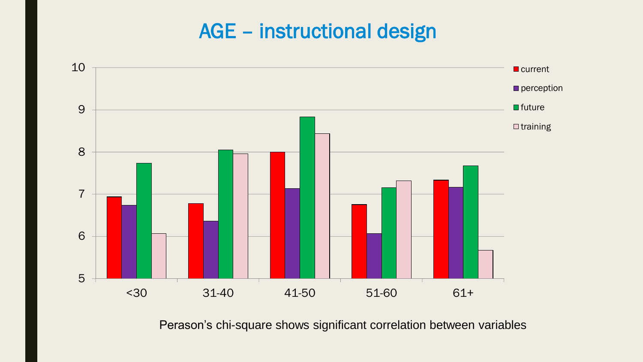### AGE – instructional design

![](_page_14_Figure_1.jpeg)

Perason's chi-square shows significant correlation between variables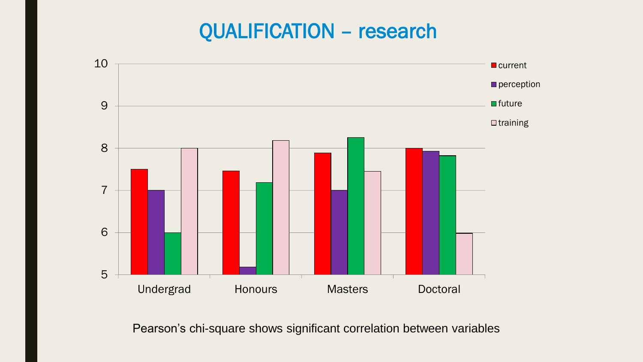### QUALIFICATION – research

![](_page_15_Figure_1.jpeg)

Pearson's chi-square shows significant correlation between variables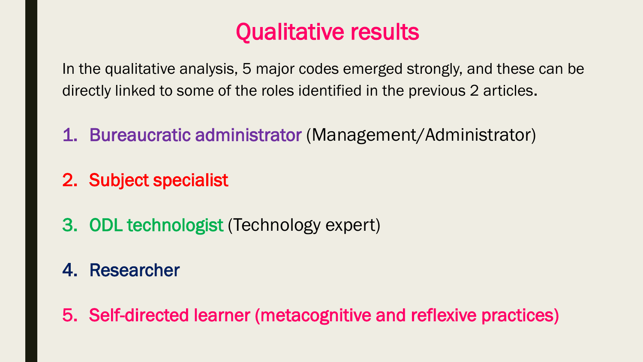## Qualitative results

In the qualitative analysis, 5 major codes emerged strongly, and these can be directly linked to some of the roles identified in the previous 2 articles.

- 1. Bureaucratic administrator (Management/Administrator)
- 2. Subject specialist
- 3. ODL technologist (Technology expert)

### 4. Researcher

5. Self-directed learner (metacognitive and reflexive practices)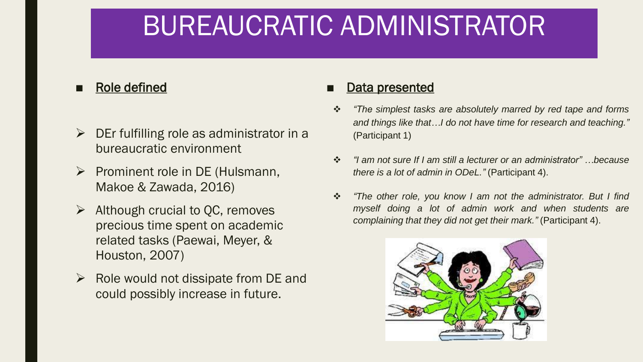# BUREAUCRATIC ADMINISTRATOR

#### Role defined

- $\triangleright$  DEr fulfilling role as administrator in a bureaucratic environment
- $\triangleright$  Prominent role in DE (Hulsmann, Makoe & Zawada, 2016)
- $\triangleright$  Although crucial to QC, removes precious time spent on academic related tasks (Paewai, Meyer, & Houston, 2007)
- $\triangleright$  Role would not dissipate from DE and could possibly increase in future.

- *"The simplest tasks are absolutely marred by red tape and forms and things like that…I do not have time for research and teaching."* (Participant 1)
- *"I am not sure If I am still a lecturer or an administrator" …because there is a lot of admin in ODeL."* (Participant 4).
- *"The other role, you know I am not the administrator. But I find myself doing a lot of admin work and when students are complaining that they did not get their mark."* (Participant 4).

![](_page_17_Picture_10.jpeg)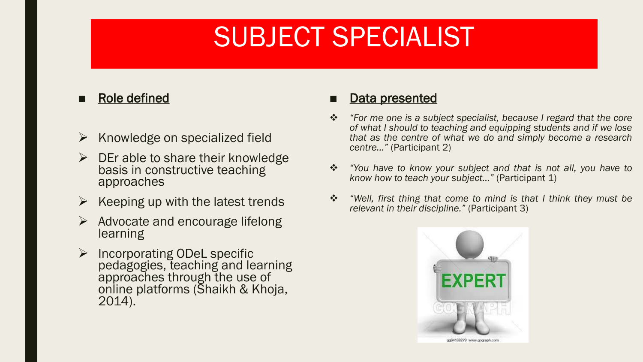# SUBJECT SPECIALIST

#### ■ Role defined

- $\triangleright$  Knowledge on specialized field
- $\triangleright$  DEr able to share their knowledge basis in constructive teaching approaches
- $\triangleright$  Keeping up with the latest trends
- $\triangleright$  Advocate and encourage lifelong learning
- $\triangleright$  Incorporating ODeL specific pedagogies, teaching and learning approaches through the use of online platforms (Shaikh & Khoja, 2014).

- *"For me one is a subject specialist, because I regard that the core of what I should to teaching and equipping students and if we lose that as the centre of what we do and simply become a research centre..."* (Participant 2)
- *"You have to know your subject and that is not all, you have to know how to teach your subject…"* (Participant 1)
- *"Well, first thing that come to mind is that I think they must be relevant in their discipline."* (Participant 3)

![](_page_18_Picture_11.jpeg)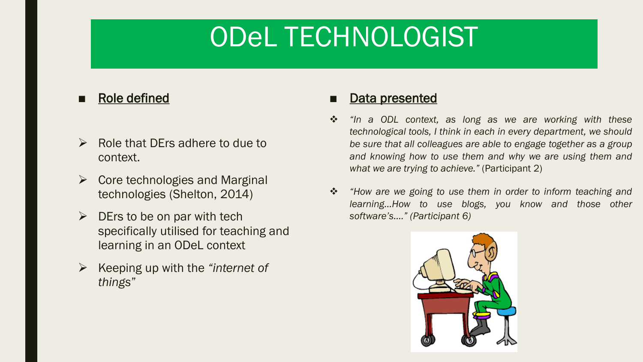# ODeL TECHNOLOGIST

#### ■ Role defined

- $\triangleright$  Role that DErs adhere to due to context.
- $\triangleright$  Core technologies and Marginal technologies (Shelton, 2014)
- $\triangleright$  DErs to be on par with tech specifically utilised for teaching and learning in an ODeL context
- Keeping up with the *"internet of things*"

- *"In a ODL context, as long as we are working with these technological tools, I think in each in every department, we should be sure that all colleagues are able to engage together as a group and knowing how to use them and why we are using them and what we are trying to achieve."* (Participant 2)
- *"How are we going to use them in order to inform teaching and learning…How to use blogs, you know and those other software's…." (Participant 6)*

![](_page_19_Picture_9.jpeg)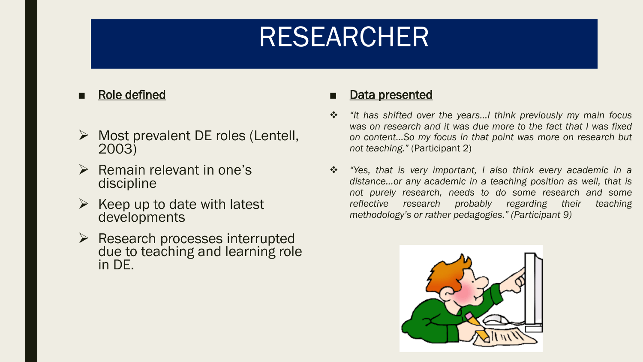# RESEARCHER

#### ■ Role defined

- $\triangleright$  Most prevalent DE roles (Lentell, 2003)
- $\triangleright$  Remain relevant in one's discipline
- $\triangleright$  Keep up to date with latest developments
- $\triangleright$  Research processes interrupted due to teaching and learning role in DE.

- *"It has shifted over the years…I think previously my main focus was on research and it was due more to the fact that I was fixed on content…So my focus in that point was more on research but not teaching."* (Participant 2)
- *"Yes, that is very important, I also think every academic in a distance…or any academic in a teaching position as well, that is not purely research, needs to do some research and some reflective research probably regarding their teaching methodology's or rather pedagogies." (Participant 9)*

![](_page_20_Picture_9.jpeg)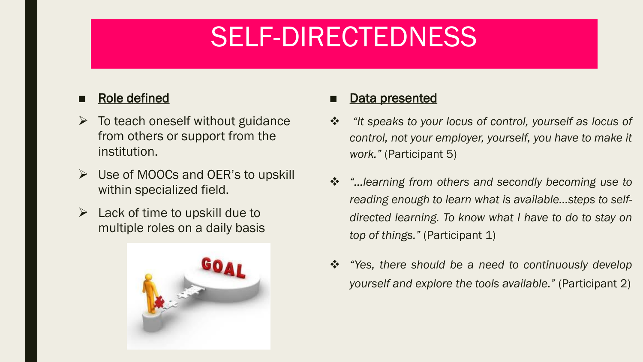# SELF-DIRECTEDNESS

#### ■ Role defined

- $\triangleright$  To teach oneself without guidance from others or support from the institution.
- $\triangleright$  Use of MOOCs and OER's to upskill within specialized field.
- $\triangleright$  Lack of time to upskill due to multiple roles on a daily basis

![](_page_21_Picture_5.jpeg)

- *"It speaks to your locus of control, yourself as locus of control, not your employer, yourself, you have to make it work."* (Participant 5)
- *"…learning from others and secondly becoming use to reading enough to learn what is available…steps to selfdirected learning. To know what I have to do to stay on top of things."* (Participant 1)
- *"Yes, there should be a need to continuously develop yourself and explore the tools available."* (Participant 2)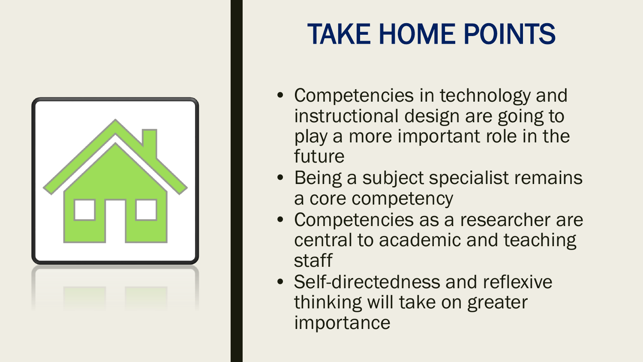![](_page_22_Figure_0.jpeg)

# TAKE HOME POINTS

- Competencies in technology and instructional design are going to play a more important role in the future
- Being a subject specialist remains a core competency
- Competencies as a researcher are central to academic and teaching staff
- Self-directedness and reflexive thinking will take on greater importance